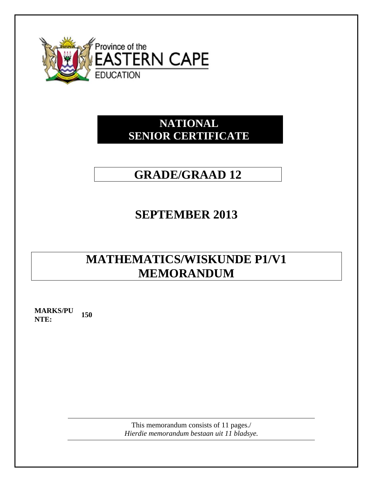

## **NATIONAL SENIOR CERTIFICATE**

# **GRADE/GRAAD 12**

## **SEPTEMBER 2013**

# **MATHEMATICS/WISKUNDE P1/V1 MEMORANDUM**

**MARKS/PU NTE:** 150

> This memorandum consists of 11 pages./ *Hierdie memorandum bestaan uit 11 bladsye.*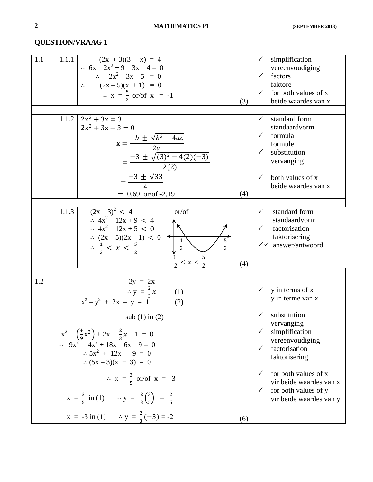| 1.1 | 1.1.1 | $(2x + 3)(3 - x) = 4$<br>$\therefore$ 6x - 2x <sup>2</sup> + 9 - 3x - 4 = 0<br>$\therefore \quad 2x^2 - 3x - 5 = 0$<br>$\ddot{\cdot}$<br>$(2x-5)(x + 1) = 0$<br>$\therefore$ x = $\frac{5}{2}$ or/of x = -1                                                                                                                                                                                                                                                                                                           | (3) | simplification<br>$\checkmark$<br>vereenvoudiging<br>factors<br>$\checkmark$<br>faktore<br>for both values of x<br>$\checkmark$<br>beide waardes van x                                                                                                                         |
|-----|-------|-----------------------------------------------------------------------------------------------------------------------------------------------------------------------------------------------------------------------------------------------------------------------------------------------------------------------------------------------------------------------------------------------------------------------------------------------------------------------------------------------------------------------|-----|--------------------------------------------------------------------------------------------------------------------------------------------------------------------------------------------------------------------------------------------------------------------------------|
|     | 1.1.2 | $2x^2 + 3x = 3$<br>$2x^2 + 3x - 3 = 0$<br>$x = \frac{-b \pm \sqrt{b^2 - 4ac}}{2a}$<br>$=\frac{-3 \pm \sqrt{(3)^2 - 4(2)(-3)}}{2(2)}$<br>$=\frac{-3 \pm \sqrt{33}}{4}$<br>$= 0,69$ or/of -2,19                                                                                                                                                                                                                                                                                                                         | (4) | standard form<br>$\checkmark$<br>standaardvorm<br>formula<br>$\checkmark$<br>formule<br>substitution<br>vervanging<br>both values of x<br>$\checkmark$<br>beide waardes van x                                                                                                  |
|     | 1.1.3 | $(2x-3)^2 < 4$<br>or/of<br>$\therefore$ 4x <sup>2</sup> – 12x + 9 < 4<br>$\therefore$ 4x <sup>2</sup> – 12x + 5 < 0<br>: $(2x-5)(2x-1) < 0$<br>$rac{5}{2}$<br>$\frac{1}{2}$<br>$\frac{1}{2}$<br>$\frac{1}{2}$<br>$\frac{5}{2}$<br>$\therefore \frac{1}{2} < x < \frac{5}{2}$                                                                                                                                                                                                                                          | (4) | standard form<br>$\checkmark$<br>standaardvorm<br>factorisation<br>$\checkmark$<br>faktorisering<br>$\checkmark$ answer/antwoord                                                                                                                                               |
| 1.2 |       | $3y = 2x$<br>$\therefore$ y = $\frac{2}{3}x$<br>(1)<br>$x^{2}-y^{2} + 2x - y = 1$<br>(2)<br>sub $(1)$ in $(2)$<br>$x^{2} - \left(\frac{4}{9}x^{2}\right) + 2x - \frac{2}{3}x - 1 = 0$<br>$\therefore 9x^2 - 4x^2 + 18x - 6x - 9 = 0$<br>$\therefore 5x^2 + 12x - 9 = 0$<br>$\therefore$ (5x - 3)(x + 3) = 0<br>$\therefore$ x = $\frac{3}{5}$ or/of x = -3<br>$x = \frac{3}{5}$ in (1) $\therefore y = \frac{2}{3} \left( \frac{3}{5} \right) = \frac{2}{5}$<br>$x = -3$ in (1) $\therefore y = \frac{2}{3}(-3) = -2$ | (6) | y in terms of x<br>y in terme van x<br>substitution<br>$\checkmark$<br>vervanging<br>simplification<br>vereenvoudiging<br>factorisation<br>faktorisering<br>for both values of x<br>$\checkmark$<br>vir beide waardes van x<br>for both values of y<br>vir beide waardes van y |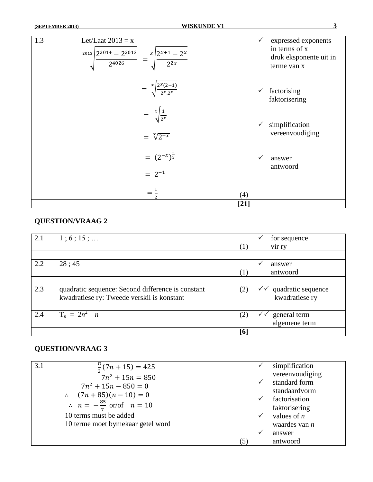| $=\sqrt[x]{\frac{2^x(2-1)}{2^x \cdot 2^x}}$<br>factorising<br>$\checkmark$<br>faktorisering<br>$=\sqrt[x]{\frac{1}{2^x}}$<br>simplification<br>$\checkmark$<br>vereenvoudiging<br>$=\sqrt[x]{2^{-x}}$<br>$=(2^{-x})^{\frac{1}{x}}$<br>$\checkmark$<br>answer<br>antwoord<br>$= 2^{-1}$ | 1.3 | Let/Laat $2013 = x$<br>$\int \frac{1}{2^{2014}-2^{2013}} = \int \frac{x}{2^{2x+1}-2^x}$ |     | expressed exponents<br>$\checkmark$<br>in terms of x<br>druk eksponente uit in<br>terme van x |
|----------------------------------------------------------------------------------------------------------------------------------------------------------------------------------------------------------------------------------------------------------------------------------------|-----|-----------------------------------------------------------------------------------------|-----|-----------------------------------------------------------------------------------------------|
|                                                                                                                                                                                                                                                                                        |     |                                                                                         |     |                                                                                               |
|                                                                                                                                                                                                                                                                                        |     |                                                                                         |     |                                                                                               |
|                                                                                                                                                                                                                                                                                        |     |                                                                                         |     |                                                                                               |
| $[21]$                                                                                                                                                                                                                                                                                 |     |                                                                                         | (4) |                                                                                               |

| 2.1 | 1; 6; 15;                                         |     | for sequence           |
|-----|---------------------------------------------------|-----|------------------------|
|     |                                                   | (1) | vir ry                 |
|     |                                                   |     |                        |
| 2.2 | 28:45                                             |     | $\checkmark$<br>answer |
|     |                                                   | (1) | antwoord               |
|     |                                                   |     |                        |
| 2.3 | quadratic sequence: Second difference is constant | (2) | quadratic sequence     |
|     | kwadratiese ry: Tweede verskil is konstant        |     | kwadratiese ry         |
|     |                                                   |     |                        |
| 2.4 | $T_n = 2n^2 - n$                                  | (2) | general term<br>✓✓     |
|     |                                                   |     | algemene term          |
|     |                                                   | [6] |                        |

| 3.1 | $\frac{\pi}{2}(7n+15)=425$                      |     |              | simplification  |
|-----|-------------------------------------------------|-----|--------------|-----------------|
|     | $7n^2 + 15n = 850$                              |     |              | vereenvoudiging |
|     | $7n^2 + 15n - 850 = 0$                          |     | $\checkmark$ | standard form   |
|     | $\therefore$ $(7n + 85)(n - 10) = 0$            |     |              | standaardvorm   |
|     | $\therefore$ $n = -\frac{85}{7}$ or/of $n = 10$ |     |              | factorisation   |
|     |                                                 |     |              | faktorisering   |
|     | 10 terms must be added                          |     |              | values of $n$   |
|     | 10 terme moet bymekaar getel word               |     |              | waardes van $n$ |
|     |                                                 |     | $\checkmark$ | answer          |
|     |                                                 | (5) |              | antwoord        |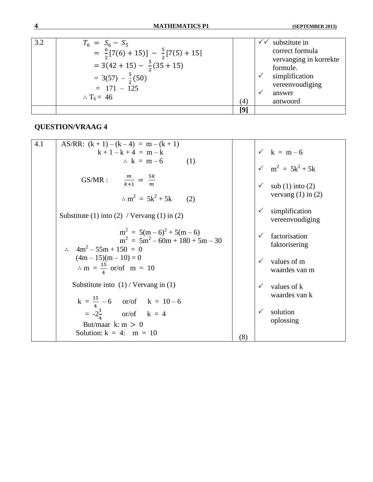| 3.2 | $T_6 = S_6 - S_5$<br>= $\frac{6}{2}[7(6) + 15)] - \frac{5}{2}[7(5) + 15]$<br>$= 3(42 + 15) - \frac{5}{2}(35 + 15)$<br>$= 3(57) - \frac{5}{2}(50)$<br>$= 171 - 125$ |     | substitute in<br>correct formula<br>vervanging in korrekte<br>formule.<br>simplification<br>vereenvoudiging<br>answer |
|-----|--------------------------------------------------------------------------------------------------------------------------------------------------------------------|-----|-----------------------------------------------------------------------------------------------------------------------|
|     | $\therefore$ T <sub>6</sub> = 46                                                                                                                                   | (4) | antwoord                                                                                                              |
|     |                                                                                                                                                                    | [9] |                                                                                                                       |

| 4.1 | AS/RR: $(k + 1) - (k - 4) = m - (k + 1)$                                                            |     |              |                                                |
|-----|-----------------------------------------------------------------------------------------------------|-----|--------------|------------------------------------------------|
|     | $k + 1 - k + 4 = m - k$                                                                             |     |              | $\sqrt{k} = m-6$                               |
|     | $\therefore$ k = m - 6<br>(1)                                                                       |     |              | $\sqrt{m^2} = 5k^2 + 5k$                       |
|     | $\frac{m}{k+1} = \frac{5k}{m}$<br>$GS/MR$ :                                                         |     |              | sub $(1)$ into $(2)$<br>vervang $(1)$ in $(2)$ |
|     | $\therefore m^2 = 5k^2 + 5k$<br>(2)                                                                 |     |              |                                                |
|     | Substitute (1) into (2) / Vervang (1) in (2)                                                        |     |              | simplification<br>vereenvoudiging              |
|     | $m^2 = 5(m-6)^2 + 5(m-6)$<br>$m^{2} = 5m^{2} - 60m + 180 + 5m - 30$                                 |     |              | factorisation<br>faktorisering                 |
|     | $4m^2 - 55m + 150 = 0$<br>$(4m-15)(m-10) = 0$<br>$\therefore$ m = $\frac{15}{4}$ or/of m = 10       |     |              | values of m<br>waardes van m                   |
|     | Substitute into $(1)$ / Vervang in $(1)$                                                            |     |              | values of k<br>waardes van k                   |
|     | $k = \frac{15}{4} - 6$ or/of $k = 10 - 6$<br>= $-2\frac{1}{4}$ or/of $k = 4$<br>But/maar k: $m > 0$ |     | $\checkmark$ | solution<br>oplossing                          |
|     | Solution: $k = 4$ : m = 10                                                                          | (8) |              |                                                |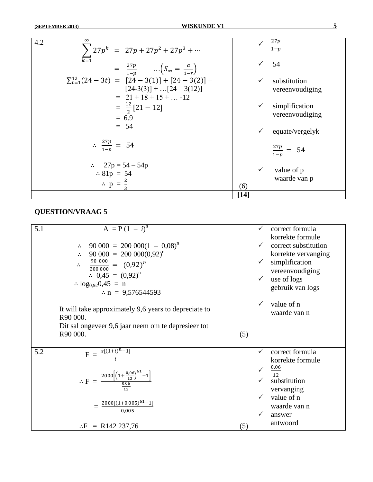| 4.2 | $\infty$                                            |        | $\frac{27p}{1-p}$      |
|-----|-----------------------------------------------------|--------|------------------------|
|     | $\sum 27p^{k} = 27p + 27p^{2} + 27p^{3} + \cdots$   |        |                        |
|     | $\overline{k=1}$                                    |        |                        |
|     | $= \frac{27p}{1-p}$ $(S_{\infty} = \frac{a}{1-r})$  |        | 54                     |
|     |                                                     |        |                        |
|     | $\sum_{t=1}^{12} (24-3t) = [24-3(1)] + [24-3(2)] +$ |        | substitution           |
|     | $[24-3(3)] +  [24-3(12)]$                           |        | vereenvoudiging        |
|     | $= 21 + 18 + 15 +  -12$                             |        |                        |
|     | $=\frac{12}{2}[21-12]$                              |        | simplification         |
|     | $= 6.9$                                             |        | vereenvoudiging        |
|     | $= 54$                                              |        |                        |
|     |                                                     |        | equate/vergelyk        |
|     |                                                     |        |                        |
|     | $\therefore \frac{27p}{1-p} = 54$                   |        | $\frac{27p}{1-p} = 54$ |
|     |                                                     |        |                        |
|     | $\therefore$ 27p = 54 – 54p                         |        |                        |
|     | $\therefore 81p = 54$                               |        | value of p             |
|     |                                                     |        | waarde van p           |
|     | $\therefore$ p = $\frac{2}{3}$                      | (6)    |                        |
|     |                                                     | $[14]$ |                        |

| 5.1 | $A = P(1 - i)^n$                                                                                         |     | $\checkmark$ | correct formula         |
|-----|----------------------------------------------------------------------------------------------------------|-----|--------------|-------------------------|
|     |                                                                                                          |     |              | korrekte formule        |
|     | $\therefore$ 90 000 = 200 000(1 - 0,08) <sup>n</sup>                                                     |     | $\checkmark$ | correct substitution    |
|     | $\therefore$ 90 000 = 200 000(0,92) <sup>n</sup>                                                         |     |              | korrekte vervanging     |
|     | $\therefore \quad \frac{90\ 000}{200\ 000} = (0.92)^n$                                                   |     | $\checkmark$ | simplification          |
|     | $\therefore$ 0,45 = $(0,92)^n$                                                                           |     |              | vereenvoudiging         |
|     | $log_{0.92}0.45 = n$                                                                                     |     | $\checkmark$ | use of logs             |
|     | $\therefore$ n = 9,576544593                                                                             |     |              | gebruik van logs        |
|     |                                                                                                          |     | $\checkmark$ | value of n              |
|     | It will take approximately 9,6 years to depreciate to                                                    |     |              | waarde van n            |
|     | R90 000.                                                                                                 |     |              |                         |
|     | Dit sal ongeveer 9,6 jaar neem om te depresieer tot                                                      |     |              |                         |
|     | R90 000.                                                                                                 | (5) |              |                         |
|     |                                                                                                          |     |              |                         |
| 5.2 | $F = \frac{x[(1+i)^n - 1]}{i}$                                                                           |     | $\checkmark$ | correct formula         |
|     |                                                                                                          |     |              | korrekte formule        |
|     |                                                                                                          |     | $\checkmark$ | 0,06<br>12 <sub>2</sub> |
|     | $\therefore F = \frac{2000 \left[ \left( 1 + \frac{0.06}{12} \right)^{61} - 1 \right]}{\frac{0.06}{12}}$ |     |              | substitution            |
|     |                                                                                                          |     |              | vervanging              |
|     |                                                                                                          |     | $\checkmark$ | value of n              |
|     | $=\frac{2000[(1+0.005)^{61}-1]}{0.005}$                                                                  |     |              | waarde van n            |
|     |                                                                                                          |     | $\checkmark$ | answer                  |
|     | $\therefore$ F = R142 237,76                                                                             | (5) |              | antwoord                |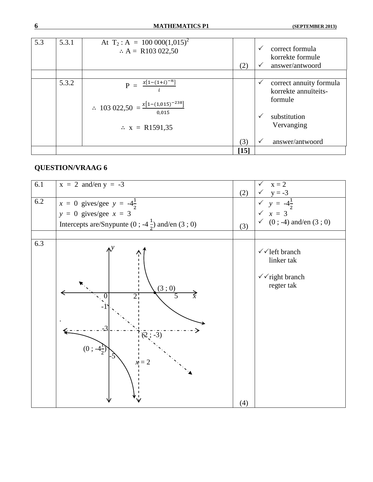| 5.3 | 5.3.1 | At $T_2$ : A = 100 000(1,015) <sup>2</sup><br>$\therefore$ A = R103 022,50                                    | (2)    | $\checkmark$<br>$\checkmark$ | correct formula<br>korrekte formule<br>answer/antwoord                                   |
|-----|-------|---------------------------------------------------------------------------------------------------------------|--------|------------------------------|------------------------------------------------------------------------------------------|
|     |       |                                                                                                               |        |                              |                                                                                          |
|     | 5.3.2 | $x[1-(1+i)^{-n}]$<br>$P =$<br>∴ 103 022,50 = $\frac{x[1-(1,015)^{-238}]}{0,015}$<br>$\therefore$ x = R1591,35 |        | ✓<br>$\checkmark$            | correct annuity formula<br>korrekte annuïteits-<br>formule<br>substitution<br>Vervanging |
|     |       |                                                                                                               | (3)    | $\checkmark$                 | answer/antwoord                                                                          |
|     |       |                                                                                                               | $[15]$ |                              |                                                                                          |

| 6.1 | $x = 2$ and/en $y = -3$                                                                                                            | (2) | $x = 2$                                                                                                                       |
|-----|------------------------------------------------------------------------------------------------------------------------------------|-----|-------------------------------------------------------------------------------------------------------------------------------|
| 6.2 | $x = 0$ gives/gee $y = -4\frac{1}{2}$<br>$y = 0$ gives/gee $x = 3$<br>Intercepts are/Snypunte (0; -4 $\frac{1}{2}$ ) and/en (3; 0) | (3) | $\begin{array}{ccc} \sqrt{y} & = -3 \\ \sqrt{y} & = -4\frac{1}{2} \\ \sqrt{x} & = 3 \end{array}$<br>$(0; -4)$ and/en $(3; 0)$ |
|     |                                                                                                                                    |     |                                                                                                                               |
| 6.3 | (3;0)<br>$2^1$<br>$\left( \overline{2}, -\overline{3} \right)$<br>$(0; -4\frac{1}{2})$<br>$x = 2$                                  | (4) | $\checkmark$ left branch<br>linker tak<br>$\checkmark$ right branch<br>regter tak                                             |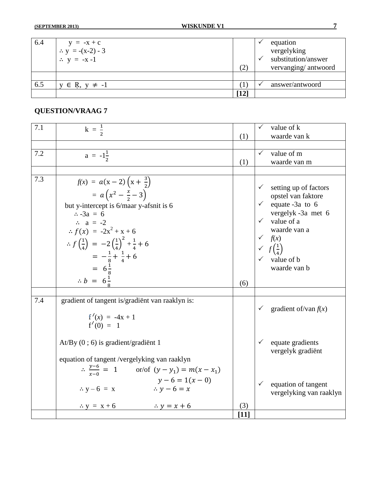| 6.4 | $y = -x + c$            |                                                                                                                                                                  | ⋎ | equation            |
|-----|-------------------------|------------------------------------------------------------------------------------------------------------------------------------------------------------------|---|---------------------|
|     | ∴ $y = -(x-2) - 3$      |                                                                                                                                                                  |   | vergelyking         |
|     | $\therefore y = -x-1$   |                                                                                                                                                                  |   | substitution/answer |
|     |                         | (2)                                                                                                                                                              |   | vervanging/antwoord |
|     |                         |                                                                                                                                                                  |   |                     |
| 6.5 | $y \in R$ , $y \neq -1$ |                                                                                                                                                                  |   | answer/antwoord     |
|     |                         | $[12] % \includegraphics[width=0.9\columnwidth]{figures/fig_1a} \caption{The 1D (black) method is used for the estimators in the left and right.} \label{fig:1}$ |   |                     |

| 7.1 | $k = \frac{1}{2}$                                                                                                                                                                                                                                                                                                                                                                   |        | $\checkmark$                                                                    | value of k                                                                                                                                                                 |
|-----|-------------------------------------------------------------------------------------------------------------------------------------------------------------------------------------------------------------------------------------------------------------------------------------------------------------------------------------------------------------------------------------|--------|---------------------------------------------------------------------------------|----------------------------------------------------------------------------------------------------------------------------------------------------------------------------|
|     |                                                                                                                                                                                                                                                                                                                                                                                     | (1)    |                                                                                 | waarde van k                                                                                                                                                               |
| 7.2 | $a = -1\frac{1}{2}$                                                                                                                                                                                                                                                                                                                                                                 | (1)    | $\checkmark$                                                                    | value of m<br>waarde van m                                                                                                                                                 |
|     |                                                                                                                                                                                                                                                                                                                                                                                     |        |                                                                                 |                                                                                                                                                                            |
| 7.3 | $f(x) = a(x-2)(x+\frac{3}{2})$<br>= $a(x^2 - \frac{x}{2} - 3)$<br>but y-intercept is 6/maar y-afsnit is 6<br>$\therefore -3a = 6$<br>$\therefore$ a = -2<br>$\therefore f(x) = -2x^2 + x + 6$<br>$\therefore f\left(\frac{1}{4}\right) = -2\left(\frac{1}{4}\right)^2 + \frac{1}{4} + 6$<br>$= -\frac{1}{8} + \frac{1}{4} + 6$<br>$= 6\frac{1}{8}$<br>$\therefore b = 6\frac{1}{8}$ | (6)    | $\checkmark$<br>$\checkmark$ $f(x)$<br>$\checkmark$ $f\left(\frac{1}{4}\right)$ | setting up of factors<br>opstel van faktore<br>$\checkmark$ equate -3a to 6<br>vergelyk -3a met 6<br>$\checkmark$ value of a<br>waarde van a<br>value of b<br>waarde van b |
|     |                                                                                                                                                                                                                                                                                                                                                                                     |        |                                                                                 |                                                                                                                                                                            |
| 7.4 | gradient of tangent is/gradient van raaklyn is:<br>$f'(x) = -4x + 1$<br>$f'(0) = 1$                                                                                                                                                                                                                                                                                                 |        |                                                                                 | gradient of/van $f(x)$                                                                                                                                                     |
|     | $At/By$ (0; 6) is gradient/gradient 1<br>equation of tangent /vergelyking van raaklyn                                                                                                                                                                                                                                                                                               |        | $\checkmark$                                                                    | equate gradients<br>vergelyk gradiënt                                                                                                                                      |
|     | $\therefore \frac{y-6}{x-9} = 1$ or/of $(y - y_1) = m(x - x_1)$<br>$y-6=1(x-0)$<br>$\therefore$ y - 6 = x<br>$\therefore y - 6 = x$<br>$\therefore$ y = x + 6<br>$\therefore y = x + 6$                                                                                                                                                                                             | (3)    | $\checkmark$                                                                    | equation of tangent<br>vergelyking van raaklyn                                                                                                                             |
|     |                                                                                                                                                                                                                                                                                                                                                                                     | $[11]$ |                                                                                 |                                                                                                                                                                            |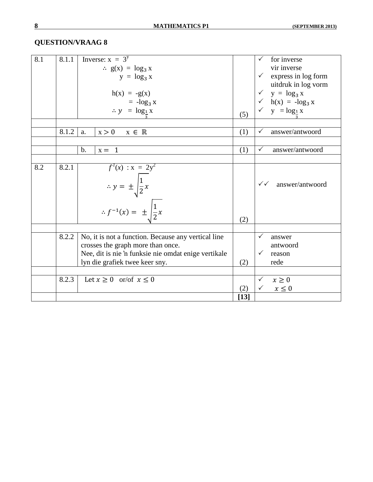| 8.1 | 8.1.1 | Inverse: $x = 3^y$                                                                               |        | for inverse                                     |
|-----|-------|--------------------------------------------------------------------------------------------------|--------|-------------------------------------------------|
|     |       | $\therefore$ g(x) = log <sub>3</sub> x                                                           |        | vir inverse                                     |
|     |       | $y = log_3 x$                                                                                    |        | express in log form                             |
|     |       |                                                                                                  |        | uitdruk in log vorm                             |
|     |       | $h(x) = -g(x)$                                                                                   |        | $\checkmark$ y = $\log_3 x$                     |
|     |       | $= -\log_3 x$                                                                                    |        | $\sqrt{\phantom{0}}$ h(x) = -log <sub>3</sub> x |
|     |       | $\therefore y = \log_1 x$                                                                        |        | $\checkmark$ y = $\log_1 x$                     |
|     |       |                                                                                                  | (5)    |                                                 |
|     |       |                                                                                                  |        |                                                 |
|     | 8.1.2 | x > 0<br>$x \in \mathbb{R}$<br>a.                                                                | (1)    | answer/antwoord<br>$\checkmark$                 |
|     |       |                                                                                                  |        |                                                 |
|     |       | $b$ .<br>$x = 1$                                                                                 | (1)    | $\checkmark$<br>answer/antwoord                 |
|     |       |                                                                                                  |        |                                                 |
| 8.2 | 8.2.1 | $f'(x) : x = 2y^2$<br>∴ $y = \pm \sqrt{\frac{1}{2}x}$<br>∴ $f^{-1}(x) = \pm \sqrt{\frac{1}{2}x}$ |        |                                                 |
|     |       |                                                                                                  |        |                                                 |
|     |       |                                                                                                  |        | $\checkmark\checkmark$<br>answer/antwoord       |
|     |       |                                                                                                  |        |                                                 |
|     |       |                                                                                                  |        |                                                 |
|     |       |                                                                                                  |        |                                                 |
|     |       |                                                                                                  | (2)    |                                                 |
|     |       |                                                                                                  |        |                                                 |
|     | 8.2.2 | No, it is not a function. Because any vertical line                                              |        | answer                                          |
|     |       | crosses the graph more than once.                                                                |        | antwoord                                        |
|     |       |                                                                                                  |        | $\checkmark$                                    |
|     |       | Nee, dit is nie 'n funksie nie omdat enige vertikale                                             |        | reason                                          |
|     |       | lyn die grafiek twee keer sny.                                                                   | (2)    | rede                                            |
|     |       |                                                                                                  |        |                                                 |
|     | 8.2.3 | Let $x \ge 0$ or/of $x \le 0$                                                                    |        | $\checkmark$<br>$x \geq 0$                      |
|     |       |                                                                                                  | (2)    | $\checkmark$<br>$x \leq 0$                      |
|     |       |                                                                                                  | $[13]$ |                                                 |
|     |       |                                                                                                  |        |                                                 |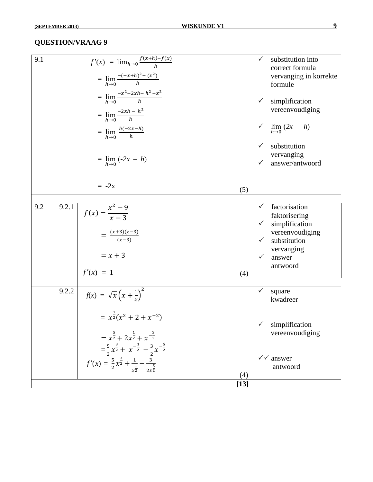| 9.1 |       | $f'(x) = \lim_{h \to 0} \frac{f(x+h) - f(x)}{h}$                                              |        |              | substitution into               |
|-----|-------|-----------------------------------------------------------------------------------------------|--------|--------------|---------------------------------|
|     |       |                                                                                               |        |              | correct formula                 |
|     |       | = $\lim_{h\to 0} \frac{-(-x+h)^2 - (x^2)}{h}$                                                 |        |              | vervanging in korrekte          |
|     |       |                                                                                               |        |              | formule                         |
|     |       | = $\lim_{h\to 0} \frac{-x^2-2xh-h^2+x^2}{h}$                                                  |        |              |                                 |
|     |       |                                                                                               |        | $\checkmark$ | simplification                  |
|     |       | = $\lim_{h\to 0} \frac{-2xh - h^2}{h}$                                                        |        |              | vereenvoudiging                 |
|     |       | $=$ $\lim_{h\to 0} \frac{h(-2x-h)}{h}$                                                        |        | $\checkmark$ | $\lim_{h\to 0} (2x - h)$        |
|     |       |                                                                                               |        |              |                                 |
|     |       |                                                                                               |        | $\checkmark$ | substitution                    |
|     |       |                                                                                               |        |              | vervanging                      |
|     |       | $= \lim_{h \to 0} (-2x - h)$                                                                  |        | $\checkmark$ | answer/antwoord                 |
|     |       |                                                                                               |        |              |                                 |
|     |       | $= -2x$                                                                                       |        |              |                                 |
|     |       |                                                                                               | (5)    |              |                                 |
|     |       |                                                                                               |        |              |                                 |
| 9.2 | 9.2.1 | $f(x) = \frac{x^2 - 9}{x - 3}$                                                                |        | $\checkmark$ | factorisation                   |
|     |       |                                                                                               |        | $\checkmark$ | faktorisering<br>simplification |
|     |       |                                                                                               |        |              | vereenvoudiging                 |
|     |       | $=\frac{(x+3)(x-3)}{(x-3)}$                                                                   |        | $\checkmark$ | substitution                    |
|     |       |                                                                                               |        |              | vervanging                      |
|     |       | $= x + 3$                                                                                     |        | $\checkmark$ | answer                          |
|     |       |                                                                                               |        |              | antwoord                        |
|     |       | $f'(x) = 1$                                                                                   | (4)    |              |                                 |
|     |       |                                                                                               |        |              |                                 |
|     | 9.2.2 | $f(x) = \sqrt{x} \left(x + \frac{1}{x}\right)^2$                                              |        | $\checkmark$ | square                          |
|     |       |                                                                                               |        |              | kwadreer                        |
|     |       |                                                                                               |        |              |                                 |
|     |       | $= x^{\frac{1}{2}}(x^2 + 2 + x^{-2})$                                                         |        |              |                                 |
|     |       |                                                                                               |        | $\checkmark$ | simplification                  |
|     |       | $= x^{\frac{5}{2}} + 2x^{\frac{1}{2}} + x^{-\frac{3}{2}}$                                     |        |              | vereenvoudiging                 |
|     |       | $=\frac{5}{2}x^{\frac{3}{2}}+x^{-\frac{1}{2}}-\frac{3}{2}x^{-\frac{5}{2}}$                    |        |              |                                 |
|     |       |                                                                                               |        |              | $\checkmark$ answer             |
|     |       | $f'(x) = \frac{5}{2}x^{\frac{3}{2}} + \frac{1}{x^{\frac{1}{2}}} - \frac{3}{2x^{\frac{5}{2}}}$ |        |              | antwoord                        |
|     |       |                                                                                               | (4)    |              |                                 |
|     |       |                                                                                               | $[13]$ |              |                                 |
|     |       |                                                                                               |        |              |                                 |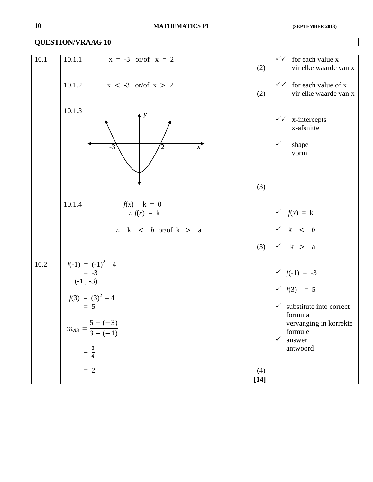| 10.1     | 10.1.1                                                                                                                                | $x = -3$ or/of $x = 2$                                                    | (2)    | $\checkmark$ for each value x<br>vir elke waarde van x                                                                                                                             |
|----------|---------------------------------------------------------------------------------------------------------------------------------------|---------------------------------------------------------------------------|--------|------------------------------------------------------------------------------------------------------------------------------------------------------------------------------------|
|          | 10.1.2                                                                                                                                | $x < -3$ or/of $x > 2$                                                    | (2)    | $\checkmark$ for each value of x<br>vir elke waarde van x                                                                                                                          |
|          | 10.1.3                                                                                                                                | $\mathcal{Y}$<br>$\overline{x}$<br>$-3$                                   |        | $\checkmark$ x-intercepts<br>x-afsnitte<br>$\checkmark$<br>shape<br>vorm                                                                                                           |
|          |                                                                                                                                       |                                                                           | (3)    |                                                                                                                                                                                    |
|          | 10.1.4                                                                                                                                | $f(x) - k = 0$<br>$\therefore f(x) = k$<br>$\therefore$ k < b or/of k > a |        | $\checkmark$ $f(x) = k$<br>$\checkmark$ k < b                                                                                                                                      |
|          |                                                                                                                                       |                                                                           | (3)    | $\checkmark$ k > a                                                                                                                                                                 |
|          |                                                                                                                                       |                                                                           |        |                                                                                                                                                                                    |
| $10.2\,$ | $f(-1) = (-1)^2 - 4$<br>$= -3$<br>$(-1; -3)$<br>$f(3) = (3)^2 - 4$<br>= 5<br>$m_{AB} = \frac{1}{3 - (-1)}$<br>$=\frac{8}{4}$<br>$= 2$ | $5 - (-3)$                                                                | (4)    | $\checkmark$ $f(-1) = -3$<br>$\checkmark$ $f(3) = 5$<br>$\checkmark$ substitute into correct<br>formula<br>vervanging in korrekte<br>formule<br>answer<br>$\checkmark$<br>antwoord |
|          |                                                                                                                                       |                                                                           | $[14]$ |                                                                                                                                                                                    |